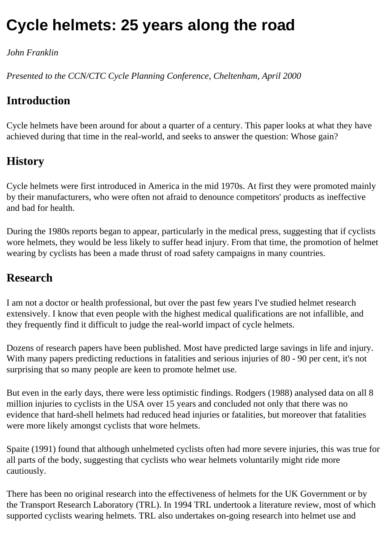# **Cycle helmets: 25 years along the road**

#### *John Franklin*

*Presented to the CCN/CTC Cycle Planning Conference, Cheltenham, April 2000*

## **Introduction**

Cycle helmets have been around for about a quarter of a century. This paper looks at what they have achieved during that time in the real-world, and seeks to answer the question: Whose gain?

## **History**

Cycle helmets were first introduced in America in the mid 1970s. At first they were promoted mainly by their manufacturers, who were often not afraid to denounce competitors' products as ineffective and bad for health.

During the 1980s reports began to appear, particularly in the medical press, suggesting that if cyclists wore helmets, they would be less likely to suffer head injury. From that time, the promotion of helmet wearing by cyclists has been a made thrust of road safety campaigns in many countries.

### **Research**

I am not a doctor or health professional, but over the past few years I've studied helmet research extensively. I know that even people with the highest medical qualifications are not infallible, and they frequently find it difficult to judge the real-world impact of cycle helmets.

Dozens of research papers have been published. Most have predicted large savings in life and injury. With many papers predicting reductions in fatalities and serious injuries of 80 - 90 per cent, it's not surprising that so many people are keen to promote helmet use.

But even in the early days, there were less optimistic findings. Rodgers (1988) analysed data on all 8 million injuries to cyclists in the USA over 15 years and concluded not only that there was no evidence that hard-shell helmets had reduced head injuries or fatalities, but moreover that fatalities were more likely amongst cyclists that wore helmets.

Spaite (1991) found that although unhelmeted cyclists often had more severe injuries, this was true for all parts of the body, suggesting that cyclists who wear helmets voluntarily might ride more cautiously.

There has been no original research into the effectiveness of helmets for the UK Government or by the Transport Research Laboratory (TRL). In 1994 TRL undertook a literature review, most of which supported cyclists wearing helmets. TRL also undertakes on-going research into helmet use and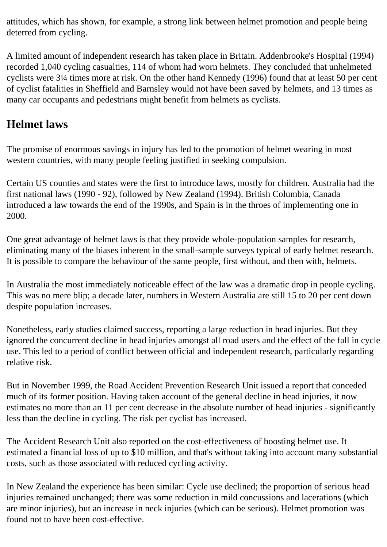attitudes, which has shown, for example, a strong link between helmet promotion and people being deterred from cycling.

A limited amount of independent research has taken place in Britain. Addenbrooke's Hospital (1994) recorded 1,040 cycling casualties, 114 of whom had worn helmets. They concluded that unhelmeted cyclists were 3¼ times more at risk. On the other hand Kennedy (1996) found that at least 50 per cent of cyclist fatalities in Sheffield and Barnsley would not have been saved by helmets, and 13 times as many car occupants and pedestrians might benefit from helmets as cyclists.

## **Helmet laws**

The promise of enormous savings in injury has led to the promotion of helmet wearing in most western countries, with many people feeling justified in seeking compulsion.

Certain US counties and states were the first to introduce laws, mostly for children. Australia had the first national laws (1990 - 92), followed by New Zealand (1994). British Columbia, Canada introduced a law towards the end of the 1990s, and Spain is in the throes of implementing one in 2000.

One great advantage of helmet laws is that they provide whole-population samples for research, eliminating many of the biases inherent in the small-sample surveys typical of early helmet research. It is possible to compare the behaviour of the same people, first without, and then with, helmets.

In Australia the most immediately noticeable effect of the law was a dramatic drop in people cycling. This was no mere blip; a decade later, numbers in Western Australia are still 15 to 20 per cent down despite population increases.

Nonetheless, early studies claimed success, reporting a large reduction in head injuries. But they ignored the concurrent decline in head injuries amongst all road users and the effect of the fall in cycle use. This led to a period of conflict between official and independent research, particularly regarding relative risk.

But in November 1999, the Road Accident Prevention Research Unit issued a report that conceded much of its former position. Having taken account of the general decline in head injuries, it now estimates no more than an 11 per cent decrease in the absolute number of head injuries - significantly less than the decline in cycling. The risk per cyclist has increased.

The Accident Research Unit also reported on the cost-effectiveness of boosting helmet use. It estimated a financial loss of up to \$10 million, and that's without taking into account many substantial costs, such as those associated with reduced cycling activity.

In New Zealand the experience has been similar: Cycle use declined; the proportion of serious head injuries remained unchanged; there was some reduction in mild concussions and lacerations (which are minor injuries), but an increase in neck injuries (which can be serious). Helmet promotion was found not to have been cost-effective.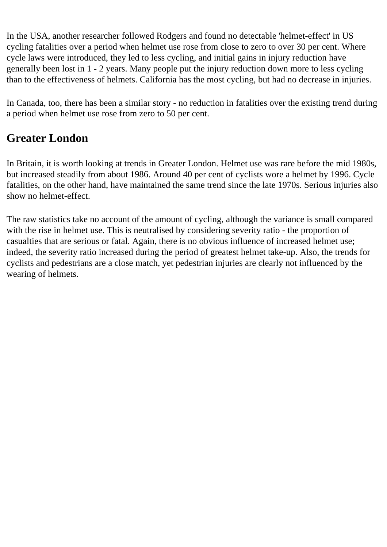In the USA, another researcher followed Rodgers and found no detectable 'helmet-effect' in US cycling fatalities over a period when helmet use rose from close to zero to over 30 per cent. Where cycle laws were introduced, they led to less cycling, and initial gains in injury reduction have generally been lost in 1 - 2 years. Many people put the injury reduction down more to less cycling than to the effectiveness of helmets. California has the most cycling, but had no decrease in injuries.

In Canada, too, there has been a similar story - no reduction in fatalities over the existing trend during a period when helmet use rose from zero to 50 per cent.

# **Greater London**

In Britain, it is worth looking at trends in Greater London. Helmet use was rare before the mid 1980s, but increased steadily from about 1986. Around 40 per cent of cyclists wore a helmet by 1996. Cycle fatalities, on the other hand, have maintained the same trend since the late 1970s. Serious injuries also show no helmet-effect.

The raw statistics take no account of the amount of cycling, although the variance is small compared with the rise in helmet use. This is neutralised by considering severity ratio - the proportion of casualties that are serious or fatal. Again, there is no obvious influence of increased helmet use; indeed, the severity ratio increased during the period of greatest helmet take-up. Also, the trends for cyclists and pedestrians are a close match, yet pedestrian injuries are clearly not influenced by the wearing of helmets.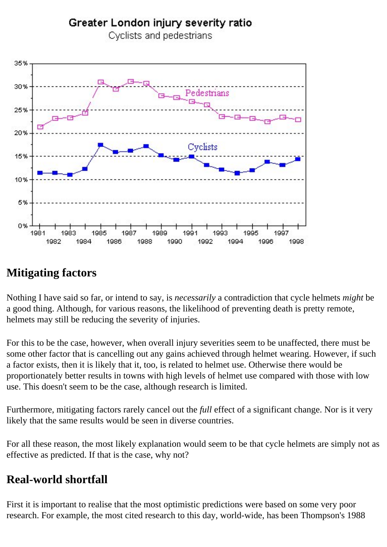#### Greater London injury severity ratio



Cyclists and pedestrians

## **Mitigating factors**

Nothing I have said so far, or intend to say, is *necessarily* a contradiction that cycle helmets *might* be a good thing. Although, for various reasons, the likelihood of preventing death is pretty remote, helmets may still be reducing the severity of injuries.

For this to be the case, however, when overall injury severities seem to be unaffected, there must be some other factor that is cancelling out any gains achieved through helmet wearing. However, if such a factor exists, then it is likely that it, too, is related to helmet use. Otherwise there would be proportionately better results in towns with high levels of helmet use compared with those with low use. This doesn't seem to be the case, although research is limited.

Furthermore, mitigating factors rarely cancel out the *full* effect of a significant change. Nor is it very likely that the same results would be seen in diverse countries.

For all these reason, the most likely explanation would seem to be that cycle helmets are simply not as effective as predicted. If that is the case, why not?

# **Real-world shortfall**

First it is important to realise that the most optimistic predictions were based on some very poor research. For example, the most cited research to this day, world-wide, has been Thompson's 1988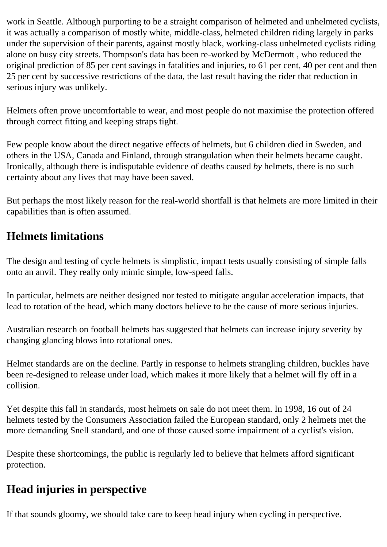work in Seattle. Although purporting to be a straight comparison of helmeted and unhelmeted cyclists, it was actually a comparison of mostly white, middle-class, helmeted children riding largely in parks under the supervision of their parents, against mostly black, working-class unhelmeted cyclists riding alone on busy city streets. Thompson's data has been re-worked by McDermott , who reduced the original prediction of 85 per cent savings in fatalities and injuries, to 61 per cent, 40 per cent and then 25 per cent by successive restrictions of the data, the last result having the rider that reduction in serious injury was unlikely.

Helmets often prove uncomfortable to wear, and most people do not maximise the protection offered through correct fitting and keeping straps tight.

Few people know about the direct negative effects of helmets, but 6 children died in Sweden, and others in the USA, Canada and Finland, through strangulation when their helmets became caught. Ironically, although there is indisputable evidence of deaths caused *by* helmets, there is no such certainty about any lives that may have been saved.

But perhaps the most likely reason for the real-world shortfall is that helmets are more limited in their capabilities than is often assumed.

## **Helmets limitations**

The design and testing of cycle helmets is simplistic, impact tests usually consisting of simple falls onto an anvil. They really only mimic simple, low-speed falls.

In particular, helmets are neither designed nor tested to mitigate angular acceleration impacts, that lead to rotation of the head, which many doctors believe to be the cause of more serious injuries.

Australian research on football helmets has suggested that helmets can increase injury severity by changing glancing blows into rotational ones.

Helmet standards are on the decline. Partly in response to helmets strangling children, buckles have been re-designed to release under load, which makes it more likely that a helmet will fly off in a collision.

Yet despite this fall in standards, most helmets on sale do not meet them. In 1998, 16 out of 24 helmets tested by the Consumers Association failed the European standard, only 2 helmets met the more demanding Snell standard, and one of those caused some impairment of a cyclist's vision.

Despite these shortcomings, the public is regularly led to believe that helmets afford significant protection.

## **Head injuries in perspective**

If that sounds gloomy, we should take care to keep head injury when cycling in perspective.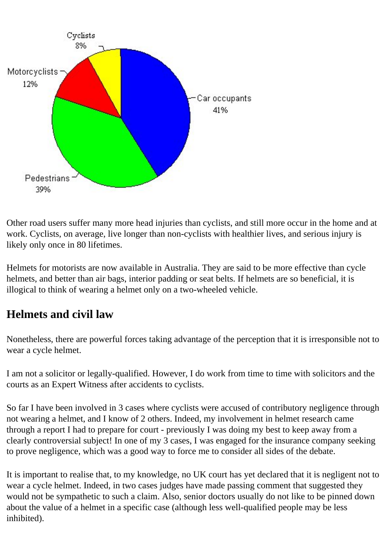

Other road users suffer many more head injuries than cyclists, and still more occur in the home and at work. Cyclists, on average, live longer than non-cyclists with healthier lives, and serious injury is likely only once in 80 lifetimes.

Helmets for motorists are now available in Australia. They are said to be more effective than cycle helmets, and better than air bags, interior padding or seat belts. If helmets are so beneficial, it is illogical to think of wearing a helmet only on a two-wheeled vehicle.

## **Helmets and civil law**

Nonetheless, there are powerful forces taking advantage of the perception that it is irresponsible not to wear a cycle helmet.

I am not a solicitor or legally-qualified. However, I do work from time to time with solicitors and the courts as an Expert Witness after accidents to cyclists.

So far I have been involved in 3 cases where cyclists were accused of contributory negligence through not wearing a helmet, and I know of 2 others. Indeed, my involvement in helmet research came through a report I had to prepare for court - previously I was doing my best to keep away from a clearly controversial subject! In one of my 3 cases, I was engaged for the insurance company seeking to prove negligence, which was a good way to force me to consider all sides of the debate.

It is important to realise that, to my knowledge, no UK court has yet declared that it is negligent not to wear a cycle helmet. Indeed, in two cases judges have made passing comment that suggested they would not be sympathetic to such a claim. Also, senior doctors usually do not like to be pinned down about the value of a helmet in a specific case (although less well-qualified people may be less inhibited).